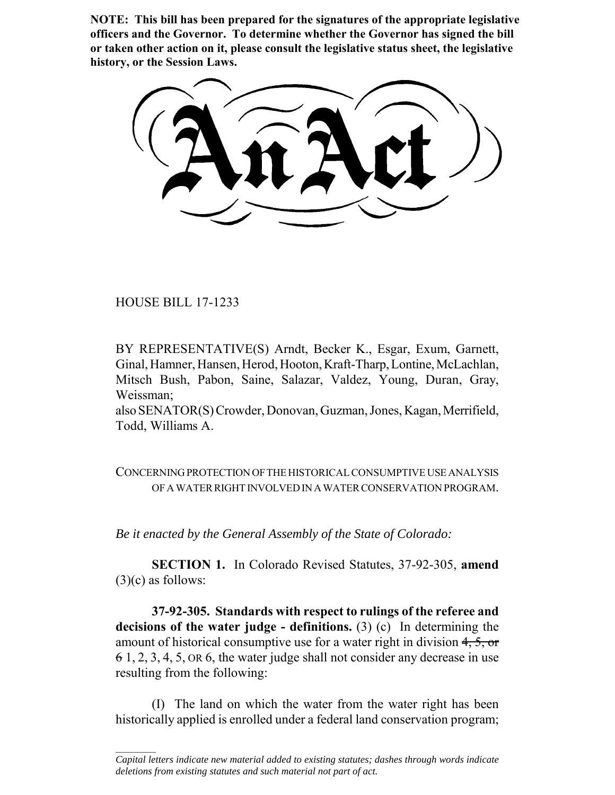**NOTE: This bill has been prepared for the signatures of the appropriate legislative officers and the Governor. To determine whether the Governor has signed the bill or taken other action on it, please consult the legislative status sheet, the legislative history, or the Session Laws.**

HOUSE BILL 17-1233

 $\frac{1}{2}$ 

BY REPRESENTATIVE(S) Arndt, Becker K., Esgar, Exum, Garnett, Ginal, Hamner, Hansen, Herod, Hooton, Kraft-Tharp, Lontine, McLachlan, Mitsch Bush, Pabon, Saine, Salazar, Valdez, Young, Duran, Gray, Weissman;

also SENATOR(S) Crowder, Donovan, Guzman, Jones, Kagan, Merrifield, Todd, Williams A.

CONCERNING PROTECTION OF THE HISTORICAL CONSUMPTIVE USE ANALYSIS OF A WATER RIGHT INVOLVED IN A WATER CONSERVATION PROGRAM.

*Be it enacted by the General Assembly of the State of Colorado:*

**SECTION 1.** In Colorado Revised Statutes, 37-92-305, **amend**  $(3)(c)$  as follows:

**37-92-305. Standards with respect to rulings of the referee and decisions of the water judge - definitions.** (3) (c) In determining the amount of historical consumptive use for a water right in division 4, 5, or 6 1, 2, 3, 4, 5, OR 6, the water judge shall not consider any decrease in use resulting from the following:

(I) The land on which the water from the water right has been historically applied is enrolled under a federal land conservation program;

*Capital letters indicate new material added to existing statutes; dashes through words indicate deletions from existing statutes and such material not part of act.*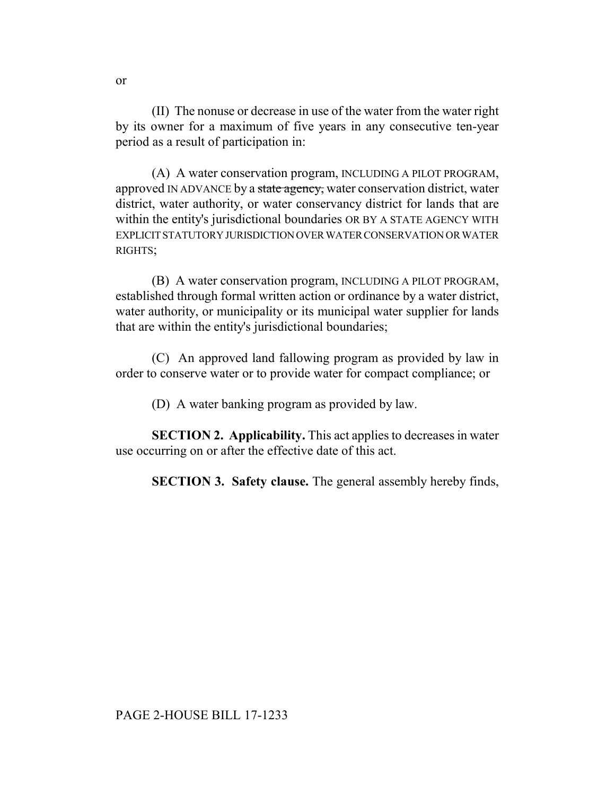(II) The nonuse or decrease in use of the water from the water right by its owner for a maximum of five years in any consecutive ten-year period as a result of participation in:

(A) A water conservation program, INCLUDING A PILOT PROGRAM, approved IN ADVANCE by a state agency, water conservation district, water district, water authority, or water conservancy district for lands that are within the entity's jurisdictional boundaries OR BY A STATE AGENCY WITH EXPLICIT STATUTORY JURISDICTION OVER WATER CONSERVATION OR WATER RIGHTS;

(B) A water conservation program, INCLUDING A PILOT PROGRAM, established through formal written action or ordinance by a water district, water authority, or municipality or its municipal water supplier for lands that are within the entity's jurisdictional boundaries;

(C) An approved land fallowing program as provided by law in order to conserve water or to provide water for compact compliance; or

(D) A water banking program as provided by law.

**SECTION 2. Applicability.** This act applies to decreases in water use occurring on or after the effective date of this act.

**SECTION 3. Safety clause.** The general assembly hereby finds,